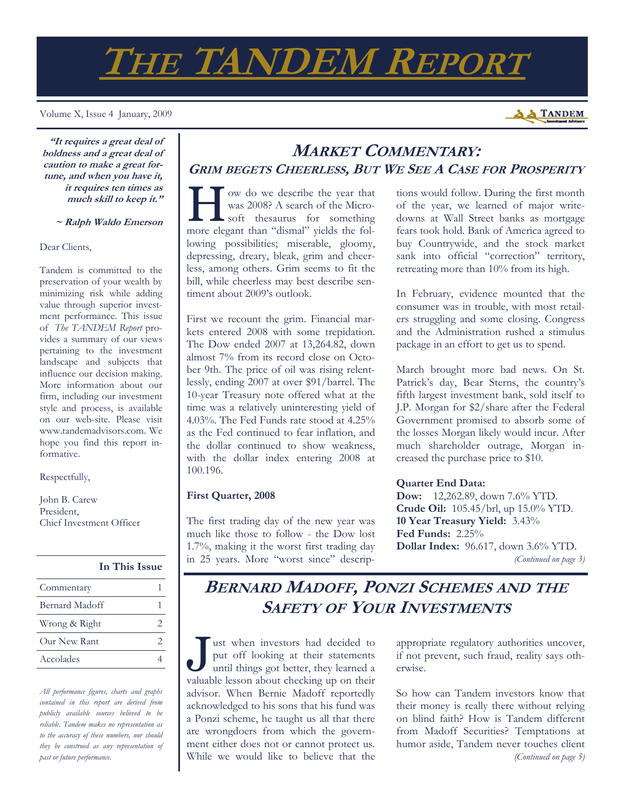# **THE TANDEM REPORT**

Volume X, Issue 4 January, 2009

**A TANDEM** 

**"It requires a great deal of boldness and a great deal of caution to make a great fortune, and when you have it, it requires ten times as much skill to keep it."** 

 **~ Ralph Waldo Emerson**

Dear Clients,

Tandem is committed to the preservation of your wealth by minimizing risk while adding value through superior investment performance. This issue of *The TANDEM Report* provides a summary of our views pertaining to the investment landscape and subjects that influence our decision making. More information about our firm, including our investment style and process, is available on our web-site. Please visit www.tandemadvisors.com. We hope you find this report informative.

Respectfully,

John B. Carew President, Chief Investment Officer

| In This Issue  |  |
|----------------|--|
| Commentary     |  |
| Bernard Madoff |  |
| Wrong & Right  |  |
| Our New Rant   |  |
| Accolades      |  |

*All performance figures, charts and graphs contained in this report are derived from publicly available sources believed to be reliable. Tandem makes no representation as to the accuracy of these numbers, nor should they be construed as any representation of past or future performance.* 

## **MARKET COMMENTARY: GRIM BEGETS CHEERLESS, BUT WE SEE A CASE FOR PROSPERITY**

We do we describe the year that<br>was 2008? A search of the Micro-<br>soft thesaurus for something was 2008? A search of the Microsoft thesaurus for something more elegant than "dismal" yields the following possibilities; miserable, gloomy, depressing, dreary, bleak, grim and cheerless, among others. Grim seems to fit the bill, while cheerless may best describe sentiment about 2009's outlook.

First we recount the grim. Financial markets entered 2008 with some trepidation. The Dow ended 2007 at 13,264.82, down almost 7% from its record close on October 9th. The price of oil was rising relentlessly, ending 2007 at over \$91/barrel. The 10-year Treasury note offered what at the time was a relatively uninteresting yield of 4.03%. The Fed Funds rate stood at 4.25% as the Fed continued to fear inflation, and the dollar continued to show weakness, with the dollar index entering 2008 at 100.196.

#### **First Quarter, 2008**

The first trading day of the new year was much like those to follow - the Dow lost 1.7%, making it the worst first trading day in 25 years. More "worst since" descriptions would follow. During the first month of the year, we learned of major writedowns at Wall Street banks as mortgage fears took hold. Bank of America agreed to buy Countrywide, and the stock market sank into official "correction" territory, retreating more than 10% from its high.

In February, evidence mounted that the consumer was in trouble, with most retailers struggling and some closing. Congress and the Administration rushed a stimulus package in an effort to get us to spend.

March brought more bad news. On St. Patrick's day, Bear Sterns, the country's fifth largest investment bank, sold itself to J.P. Morgan for \$2/share after the Federal Government promised to absorb some of the losses Morgan likely would incur. After much shareholder outrage, Morgan increased the purchase price to \$10.

#### **Quarter End Data:**

**Dow:** 12,262.89, down 7.6% YTD. **Crude Oil:** 105.45/brl, up 15.0% YTD. **10 Year Treasury Yield:** 3.43% **Fed Funds:** 2.25% **Dollar Index:** 96.617, down 3.6% YTD. *(Continued on page 3)* 

# **BERNARD MADOFF, PONZI SCHEMES AND THE SAFETY OF YOUR INVESTMENTS**

I ust when investors had decided to put off looking at their statements until things got better, they learned a put off looking at their statements valuable lesson about checking up on their advisor. When Bernie Madoff reportedly acknowledged to his sons that his fund was a Ponzi scheme, he taught us all that there are wrongdoers from which the government either does not or cannot protect us. While we would like to believe that the

appropriate regulatory authorities uncover, if not prevent, such fraud, reality says otherwise.

So how can Tandem investors know that their money is really there without relying on blind faith? How is Tandem different from Madoff Securities? Temptations at humor aside, Tandem never touches client *(Continued on page 5)*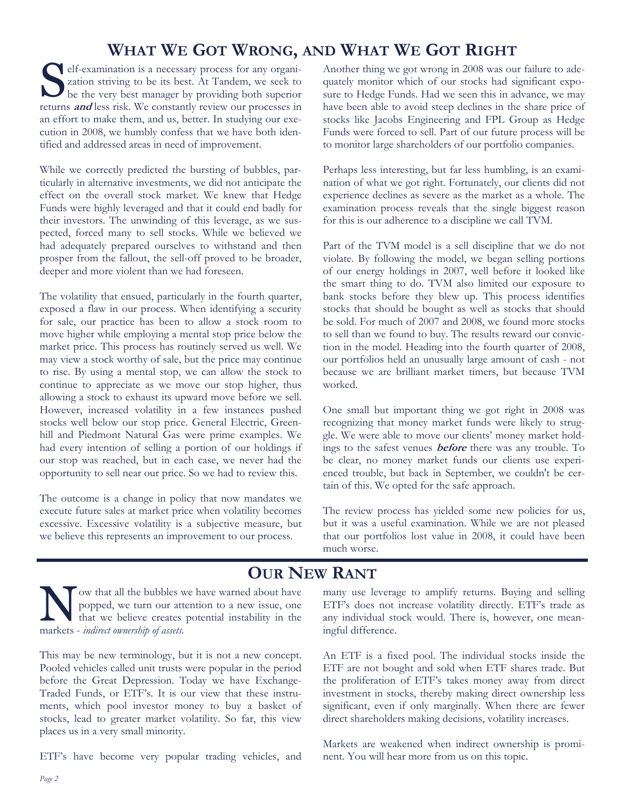# **WHAT WE GOT WRONG, AND WHAT WE GOT RIGHT**<br>
elf-examination is a necessary process for any organi-<br>
Another thing we got wrong in 2008 was ou

S elf-examination is a necessary process for any organization striving to be its best. At Tandem, we seek to be the very best manager by providing both superior zation striving to be its best. At Tandem, we seek to returns **and** less risk. We constantly review our processes in an effort to make them, and us, better. In studying our execution in 2008, we humbly confess that we have both identified and addressed areas in need of improvement.

While we correctly predicted the bursting of bubbles, particularly in alternative investments, we did not anticipate the effect on the overall stock market. We knew that Hedge Funds were highly leveraged and that it could end badly for their investors. The unwinding of this leverage, as we suspected, forced many to sell stocks. While we believed we had adequately prepared ourselves to withstand and then prosper from the fallout, the sell-off proved to be broader, deeper and more violent than we had foreseen.

The volatility that ensued, particularly in the fourth quarter, exposed a flaw in our process. When identifying a security for sale, our practice has been to allow a stock room to move higher while employing a mental stop price below the market price. This process has routinely served us well. We may view a stock worthy of sale, but the price may continue to rise. By using a mental stop, we can allow the stock to continue to appreciate as we move our stop higher, thus allowing a stock to exhaust its upward move before we sell. However, increased volatility in a few instances pushed stocks well below our stop price. General Electric, Greenhill and Piedmont Natural Gas were prime examples. We had every intention of selling a portion of our holdings if our stop was reached, but in each case, we never had the opportunity to sell near our price. So we had to review this.

The outcome is a change in policy that now mandates we execute future sales at market price when volatility becomes excessive. Excessive volatility is a subjective measure, but we believe this represents an improvement to our process.

Another thing we got wrong in 2008 was our failure to adequately monitor which of our stocks had significant exposure to Hedge Funds. Had we seen this in advance, we may have been able to avoid steep declines in the share price of stocks like Jacobs Engineering and FPL Group as Hedge Funds were forced to sell. Part of our future process will be to monitor large shareholders of our portfolio companies.

Perhaps less interesting, but far less humbling, is an examination of what we got right. Fortunately, our clients did not experience declines as severe as the market as a whole. The examination process reveals that the single biggest reason for this is our adherence to a discipline we call TVM.

Part of the TVM model is a sell discipline that we do not violate. By following the model, we began selling portions of our energy holdings in 2007, well before it looked like the smart thing to do. TVM also limited our exposure to bank stocks before they blew up. This process identifies stocks that should be bought as well as stocks that should be sold. For much of 2007 and 2008, we found more stocks to sell than we found to buy. The results reward our conviction in the model. Heading into the fourth quarter of 2008, our portfolios held an unusually large amount of cash - not because we are brilliant market timers, but because TVM worked.

One small but important thing we got right in 2008 was recognizing that money market funds were likely to struggle. We were able to move our clients' money market holdings to the safest venues **before** there was any trouble. To be clear, no money market funds our clients use experienced trouble, but back in September, we couldn't be certain of this. We opted for the safe approach.

The review process has yielded some new policies for us, but it was a useful examination. While we are not pleased that our portfolios lost value in 2008, it could have been much worse.

## **OUR NEW RANT**

N ow that all the bubbles we have warned about have<br>popped, we turn our attention to a new issue, one<br>that we believe creates potential instability in the popped, we turn our attention to a new issue, one that we believe creates potential instability in the markets - *indirect ownership of assets.* 

This may be new terminology, but it is not a new concept. Pooled vehicles called unit trusts were popular in the period before the Great Depression. Today we have Exchange-Traded Funds, or ETF's. It is our view that these instruments, which pool investor money to buy a basket of stocks, lead to greater market volatility. So far, this view places us in a very small minority.

ETF's have become very popular trading vehicles, and

many use leverage to amplify returns. Buying and selling ETF's does not increase volatility directly. ETF's trade as any individual stock would. There is, however, one meaningful difference.

An ETF is a fixed pool. The individual stocks inside the ETF are not bought and sold when ETF shares trade. But the proliferation of ETF's takes money away from direct investment in stocks, thereby making direct ownership less significant, even if only marginally. When there are fewer direct shareholders making decisions, volatility increases.

Markets are weakened when indirect ownership is prominent. You will hear more from us on this topic.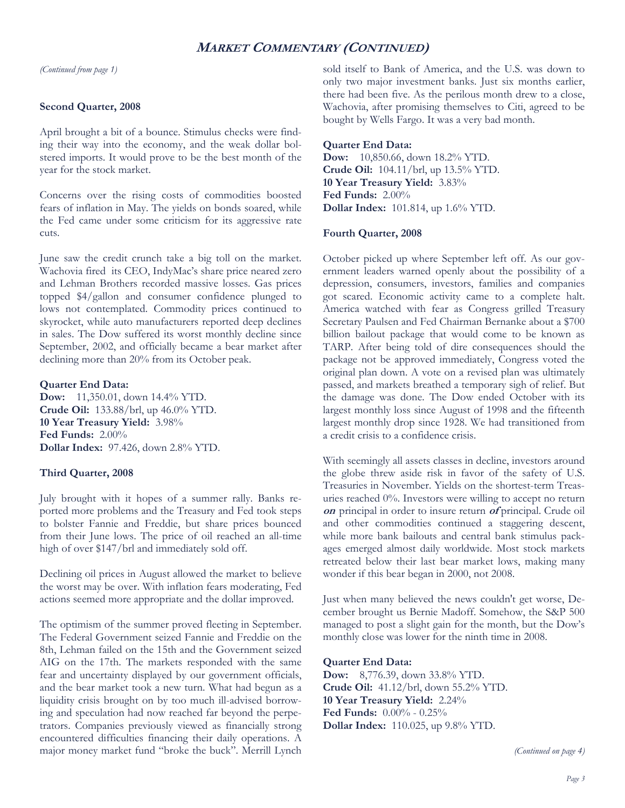### **MARKET COMMENTARY (CONTINUED)**

*(Continued from page 1)* 

#### **Second Quarter, 2008**

April brought a bit of a bounce. Stimulus checks were finding their way into the economy, and the weak dollar bolstered imports. It would prove to be the best month of the year for the stock market.

Concerns over the rising costs of commodities boosted fears of inflation in May. The yields on bonds soared, while the Fed came under some criticism for its aggressive rate cuts.

June saw the credit crunch take a big toll on the market. Wachovia fired its CEO, IndyMac's share price neared zero and Lehman Brothers recorded massive losses. Gas prices topped \$4/gallon and consumer confidence plunged to lows not contemplated. Commodity prices continued to skyrocket, while auto manufacturers reported deep declines in sales. The Dow suffered its worst monthly decline since September, 2002, and officially became a bear market after declining more than 20% from its October peak.

#### **Quarter End Data:**

**Dow:** 11,350.01, down 14.4% YTD. **Crude Oil:** 133.88/brl, up 46.0% YTD. **10 Year Treasury Yield:** 3.98% **Fed Funds:** 2.00% **Dollar Index:** 97.426, down 2.8% YTD.

#### **Third Quarter, 2008**

July brought with it hopes of a summer rally. Banks reported more problems and the Treasury and Fed took steps to bolster Fannie and Freddie, but share prices bounced from their June lows. The price of oil reached an all-time high of over \$147/brl and immediately sold off.

Declining oil prices in August allowed the market to believe the worst may be over. With inflation fears moderating, Fed actions seemed more appropriate and the dollar improved.

The optimism of the summer proved fleeting in September. The Federal Government seized Fannie and Freddie on the 8th, Lehman failed on the 15th and the Government seized AIG on the 17th. The markets responded with the same fear and uncertainty displayed by our government officials, and the bear market took a new turn. What had begun as a liquidity crisis brought on by too much ill-advised borrowing and speculation had now reached far beyond the perpetrators. Companies previously viewed as financially strong encountered difficulties financing their daily operations. A major money market fund "broke the buck". Merrill Lynch sold itself to Bank of America, and the U.S. was down to only two major investment banks. Just six months earlier, there had been five. As the perilous month drew to a close, Wachovia, after promising themselves to Citi, agreed to be bought by Wells Fargo. It was a very bad month.

#### **Quarter End Data:**

**Dow:** 10,850.66, down 18.2% YTD. **Crude Oil:** 104.11/brl, up 13.5% YTD. **10 Year Treasury Yield:** 3.83% **Fed Funds:** 2.00% **Dollar Index:** 101.814, up 1.6% YTD.

#### **Fourth Quarter, 2008**

October picked up where September left off. As our government leaders warned openly about the possibility of a depression, consumers, investors, families and companies got scared. Economic activity came to a complete halt. America watched with fear as Congress grilled Treasury Secretary Paulsen and Fed Chairman Bernanke about a \$700 billion bailout package that would come to be known as TARP. After being told of dire consequences should the package not be approved immediately, Congress voted the original plan down. A vote on a revised plan was ultimately passed, and markets breathed a temporary sigh of relief. But the damage was done. The Dow ended October with its largest monthly loss since August of 1998 and the fifteenth largest monthly drop since 1928. We had transitioned from a credit crisis to a confidence crisis.

With seemingly all assets classes in decline, investors around the globe threw aside risk in favor of the safety of U.S. Treasuries in November. Yields on the shortest-term Treasuries reached 0%. Investors were willing to accept no return **on** principal in order to insure return **of** principal. Crude oil and other commodities continued a staggering descent, while more bank bailouts and central bank stimulus packages emerged almost daily worldwide. Most stock markets retreated below their last bear market lows, making many wonder if this bear began in 2000, not 2008.

Just when many believed the news couldn't get worse, December brought us Bernie Madoff. Somehow, the S&P 500 managed to post a slight gain for the month, but the Dow's monthly close was lower for the ninth time in 2008.

#### **Quarter End Data:**

**Dow:** 8,776.39, down 33.8% YTD. **Crude Oil:** 41.12/brl, down 55.2% YTD. **10 Year Treasury Yield:** 2.24% **Fed Funds:** 0.00% - 0.25% **Dollar Index:** 110.025, up 9.8% YTD.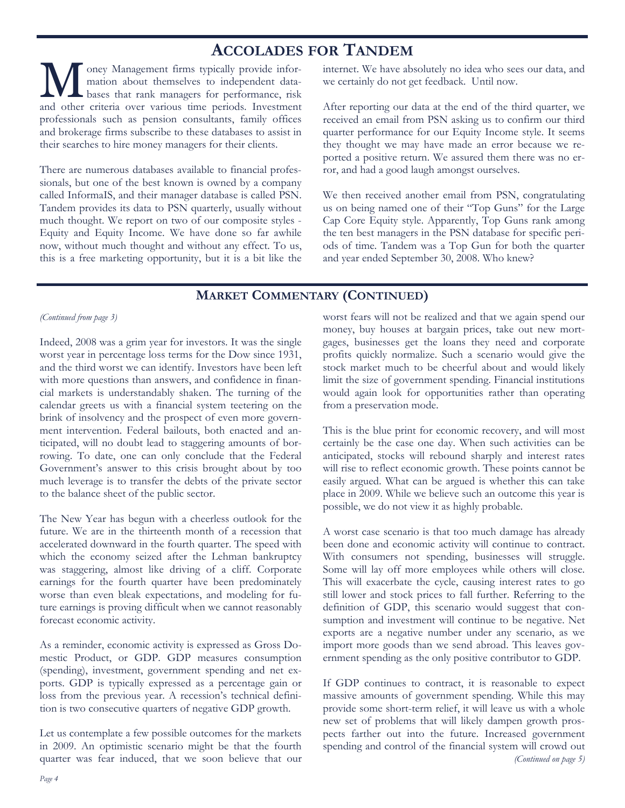## **ACCOLADES FOR TANDEM**

**M** oney Management firms typically provide infor-<br>
bases that rank managers for performance, risk<br>
and other criteria aver verious time periods Investment mation about themselves to independent dataand other criteria over various time periods. Investment professionals such as pension consultants, family offices and brokerage firms subscribe to these databases to assist in their searches to hire money managers for their clients.

There are numerous databases available to financial professionals, but one of the best known is owned by a company called InformaIS, and their manager database is called PSN. Tandem provides its data to PSN quarterly, usually without much thought. We report on two of our composite styles - Equity and Equity Income. We have done so far awhile now, without much thought and without any effect. To us, this is a free marketing opportunity, but it is a bit like the

internet. We have absolutely no idea who sees our data, and we certainly do not get feedback. Until now.

After reporting our data at the end of the third quarter, we received an email from PSN asking us to confirm our third quarter performance for our Equity Income style. It seems they thought we may have made an error because we reported a positive return. We assured them there was no error, and had a good laugh amongst ourselves.

We then received another email from PSN, congratulating us on being named one of their "Top Guns" for the Large Cap Core Equity style. Apparently, Top Guns rank among the ten best managers in the PSN database for specific periods of time. Tandem was a Top Gun for both the quarter and year ended September 30, 2008. Who knew?

## **MARKET COMMENTARY (CONTINUED)**

#### *(Continued from page 3)*

Indeed, 2008 was a grim year for investors. It was the single worst year in percentage loss terms for the Dow since 1931, and the third worst we can identify. Investors have been left with more questions than answers, and confidence in financial markets is understandably shaken. The turning of the calendar greets us with a financial system teetering on the brink of insolvency and the prospect of even more government intervention. Federal bailouts, both enacted and anticipated, will no doubt lead to staggering amounts of borrowing. To date, one can only conclude that the Federal Government's answer to this crisis brought about by too much leverage is to transfer the debts of the private sector to the balance sheet of the public sector.

The New Year has begun with a cheerless outlook for the future. We are in the thirteenth month of a recession that accelerated downward in the fourth quarter. The speed with which the economy seized after the Lehman bankruptcy was staggering, almost like driving of a cliff. Corporate earnings for the fourth quarter have been predominately worse than even bleak expectations, and modeling for future earnings is proving difficult when we cannot reasonably forecast economic activity.

As a reminder, economic activity is expressed as Gross Domestic Product, or GDP. GDP measures consumption (spending), investment, government spending and net exports. GDP is typically expressed as a percentage gain or loss from the previous year. A recession's technical definition is two consecutive quarters of negative GDP growth.

Let us contemplate a few possible outcomes for the markets in 2009. An optimistic scenario might be that the fourth quarter was fear induced, that we soon believe that our worst fears will not be realized and that we again spend our money, buy houses at bargain prices, take out new mortgages, businesses get the loans they need and corporate profits quickly normalize. Such a scenario would give the stock market much to be cheerful about and would likely limit the size of government spending. Financial institutions would again look for opportunities rather than operating from a preservation mode.

This is the blue print for economic recovery, and will most certainly be the case one day. When such activities can be anticipated, stocks will rebound sharply and interest rates will rise to reflect economic growth. These points cannot be easily argued. What can be argued is whether this can take place in 2009. While we believe such an outcome this year is possible, we do not view it as highly probable.

A worst case scenario is that too much damage has already been done and economic activity will continue to contract. With consumers not spending, businesses will struggle. Some will lay off more employees while others will close. This will exacerbate the cycle, causing interest rates to go still lower and stock prices to fall further. Referring to the definition of GDP, this scenario would suggest that consumption and investment will continue to be negative. Net exports are a negative number under any scenario, as we import more goods than we send abroad. This leaves government spending as the only positive contributor to GDP.

If GDP continues to contract, it is reasonable to expect massive amounts of government spending. While this may provide some short-term relief, it will leave us with a whole new set of problems that will likely dampen growth prospects farther out into the future. Increased government spending and control of the financial system will crowd out *(Continued on page 5)*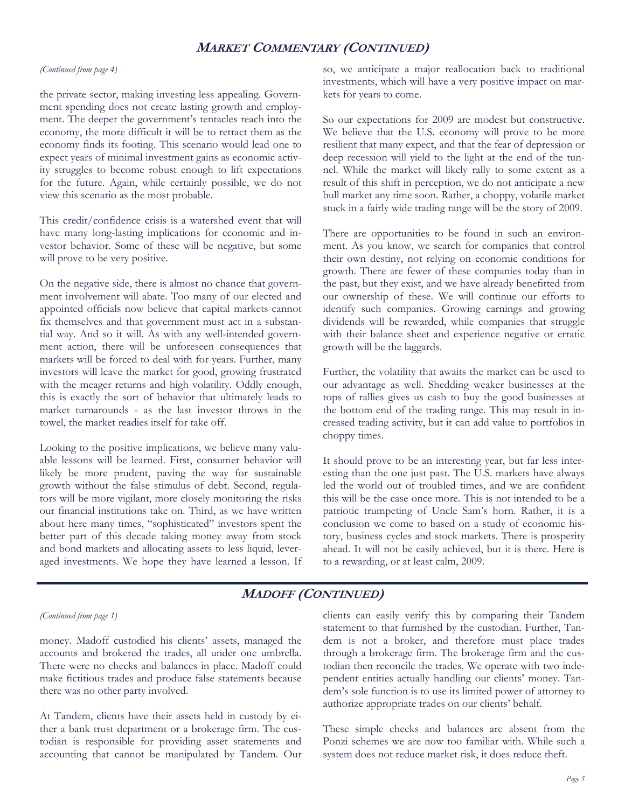### **MARKET COMMENTARY (CONTINUED)**

#### *(Continued from page 4)*

the private sector, making investing less appealing. Government spending does not create lasting growth and employment. The deeper the government's tentacles reach into the economy, the more difficult it will be to retract them as the economy finds its footing. This scenario would lead one to expect years of minimal investment gains as economic activity struggles to become robust enough to lift expectations for the future. Again, while certainly possible, we do not view this scenario as the most probable.

This credit/confidence crisis is a watershed event that will have many long-lasting implications for economic and investor behavior. Some of these will be negative, but some will prove to be very positive.

On the negative side, there is almost no chance that government involvement will abate. Too many of our elected and appointed officials now believe that capital markets cannot fix themselves and that government must act in a substantial way. And so it will. As with any well-intended government action, there will be unforeseen consequences that markets will be forced to deal with for years. Further, many investors will leave the market for good, growing frustrated with the meager returns and high volatility. Oddly enough, this is exactly the sort of behavior that ultimately leads to market turnarounds - as the last investor throws in the towel, the market readies itself for take off.

Looking to the positive implications, we believe many valuable lessons will be learned. First, consumer behavior will likely be more prudent, paving the way for sustainable growth without the false stimulus of debt. Second, regulators will be more vigilant, more closely monitoring the risks our financial institutions take on. Third, as we have written about here many times, "sophisticated" investors spent the better part of this decade taking money away from stock and bond markets and allocating assets to less liquid, leveraged investments. We hope they have learned a lesson. If so, we anticipate a major reallocation back to traditional investments, which will have a very positive impact on markets for years to come.

So our expectations for 2009 are modest but constructive. We believe that the U.S. economy will prove to be more resilient that many expect, and that the fear of depression or deep recession will yield to the light at the end of the tunnel. While the market will likely rally to some extent as a result of this shift in perception, we do not anticipate a new bull market any time soon. Rather, a choppy, volatile market stuck in a fairly wide trading range will be the story of 2009.

There are opportunities to be found in such an environment. As you know, we search for companies that control their own destiny, not relying on economic conditions for growth. There are fewer of these companies today than in the past, but they exist, and we have already benefitted from our ownership of these. We will continue our efforts to identify such companies. Growing earnings and growing dividends will be rewarded, while companies that struggle with their balance sheet and experience negative or erratic growth will be the laggards.

Further, the volatility that awaits the market can be used to our advantage as well. Shedding weaker businesses at the tops of rallies gives us cash to buy the good businesses at the bottom end of the trading range. This may result in increased trading activity, but it can add value to portfolios in choppy times.

It should prove to be an interesting year, but far less interesting than the one just past. The U.S. markets have always led the world out of troubled times, and we are confident this will be the case once more. This is not intended to be a patriotic trumpeting of Uncle Sam's horn. Rather, it is a conclusion we come to based on a study of economic history, business cycles and stock markets. There is prosperity ahead. It will not be easily achieved, but it is there. Here is to a rewarding, or at least calm, 2009.

## **MADOFF (CONTINUED)**

#### *(Continued from page 1)*

money. Madoff custodied his clients' assets, managed the accounts and brokered the trades, all under one umbrella. There were no checks and balances in place. Madoff could make fictitious trades and produce false statements because there was no other party involved.

At Tandem, clients have their assets held in custody by either a bank trust department or a brokerage firm. The custodian is responsible for providing asset statements and accounting that cannot be manipulated by Tandem. Our clients can easily verify this by comparing their Tandem statement to that furnished by the custodian. Further, Tandem is not a broker, and therefore must place trades through a brokerage firm. The brokerage firm and the custodian then reconcile the trades. We operate with two independent entities actually handling our clients' money. Tandem's sole function is to use its limited power of attorney to authorize appropriate trades on our clients' behalf.

These simple checks and balances are absent from the Ponzi schemes we are now too familiar with. While such a system does not reduce market risk, it does reduce theft.